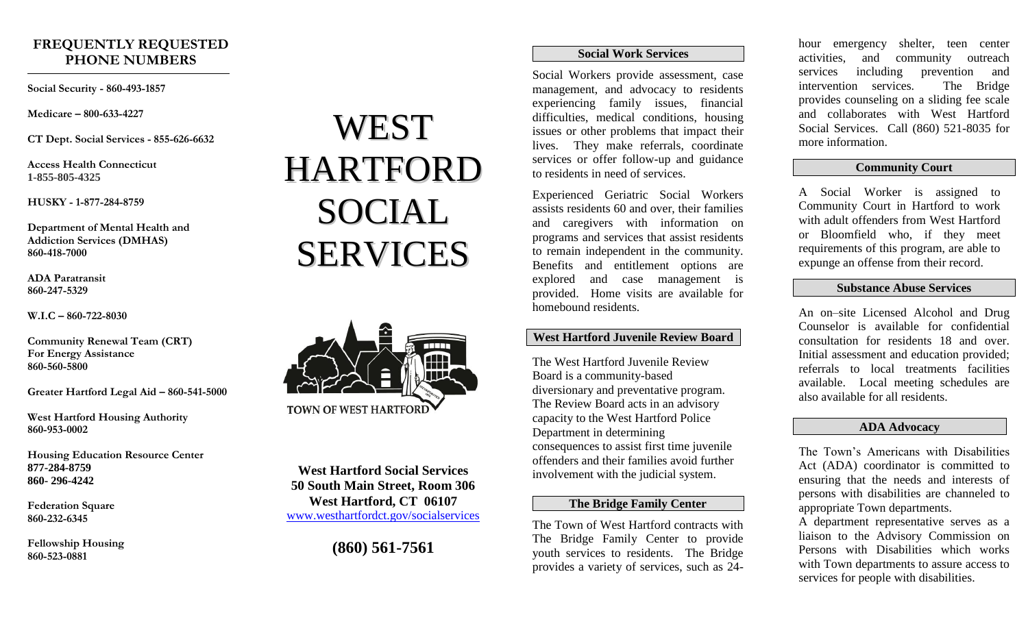# **FREQUENTLY REQUESTED PHONE NUMBERS**

**Social Security - 860-493-1857**

**Medicare – 800-633-4227**

**CT Dept. Social Services - 855-626-6632**

**Access Health Connecticut 1-855-805-4325**

**HUSKY - 1-877-284-8759**

**Department of Mental Health and Addiction Services (DMHAS) 860-418-7000**

**ADA Paratransit 860-247-5329**

**W.I.C – 860-722-8030**

**Community Renewal Team (CRT) For Energy Assistance 860-560-5800**

**Greater Hartford Legal Aid – 860-541-5000**

**West Hartford Housing Authority 860-953-0002**

**Housing Education Resource Center 877-284-8759 860- 296-4242**

**Federation Square 860-232-6345**

**Fellowship Housing 860-523-0881**

# WEST HARTFORD SOCIAL **SERVICES**



**West Hartford Social Services 50 South Main Street, Room 306 West Hartford, CT 06107** [www.westhartfordct.gov/socialservices](http://www.westhartfordct.gov/socialservices)

**(860) 561-7561**

#### **Social Work Services**

Social Workers provide assessment, case management, and advocacy to residents experiencing family issues, financial difficulties, medical conditions, housing issues or other problems that impact their lives. They make referrals, coordinate services or offer follow-up and guidance to residents in need of services.

Experienced Geriatric Social Workers assists residents 60 and over, their families and caregivers with information on programs and services that assist residents to remain independent in the community. Benefits and entitlement options are explored and case management is provided. Home visits are available for homebound residents.

# **West Hartford Juvenile Review Board**

The West Hartford Juvenile Review Board is a community-based diversionary and preventative program. The Review Board acts in an advisory capacity to the West Hartford Police Department in determining consequences to assist first time juvenile offenders and their families avoid further involvement with the judicial system.

#### **The Bridge Family Center**

The Town of West Hartford contracts with The Bridge Family Center to provide youth services to residents. The Bridge provides a variety of services, such as 24-

hour emergency shelter, teen center activities, and community outreach services including prevention and intervention services. The Bridge provides counseling on a sliding fee scale and collaborates with West Hartford Social Services. Call (860) 521-8035 for more information.

### **Community Court**

A Social Worker is assigned to Community Court in Hartford to work with adult offenders from West Hartford or Bloomfield who, if they meet requirements of this program, are able to expunge an offense from their record.

#### **Substance Abuse Services**

An on–site Licensed Alcohol and Drug Counselor is available for confidential consultation for residents 18 and over. Initial assessment and education provided; referrals to local treatments facilities available. Local meeting schedules are also available for all residents.

## **ADA Advocacy**

The Town's Americans with Disabilities Act (ADA) coordinator is committed to ensuring that the needs and interests of persons with disabilities are channeled to appropriate Town departments.

A department representative serves as a liaison to the Advisory Commission on Persons with Disabilities which works with Town departments to assure access to services for people with disabilities.